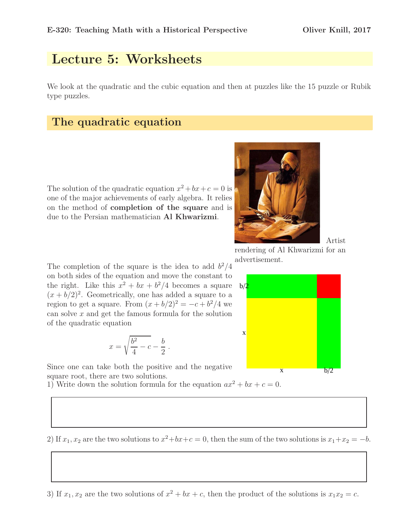Artist

# Lecture 5: Worksheets

We look at the quadratic and the cubic equation and then at puzzles like the 15 puzzle or Rubik type puzzles.

#### The quadratic equation

The solution of the quadratic equation  $x^2 + bx + c = 0$  is one of the major achievements of early algebra. It relies on the method of completion of the square and is due to the Persian mathematician Al Khwarizmi.



rendering of Al Khwarizmi for an advertisement.



The completion of the square is the idea to add  $b^2/4$ on both sides of the equation and move the constant to the right. Like this  $x^2 + bx + b^2/4$  becomes a square  $(x + b/2)^2$ . Geometrically, one has added a square to a region to get a square. From  $(x + b/2)^2 = -c + b^2/4$  we can solve  $x$  and get the famous formula for the solution of the quadratic equation

$$
x = \sqrt{\frac{b^2}{4} - c} - \frac{b}{2}.
$$

Since one can take both the positive and the negative square root, there are two solutions.

1) Write down the solution formula for the equation  $ax^2 + bx + c = 0$ .

2) If  $x_1, x_2$  are the two solutions to  $x^2+bx+c=0$ , then the sum of the two solutions is  $x_1+x_2=-b$ .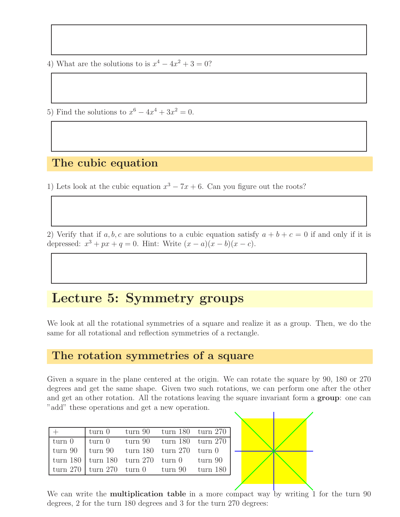4) What are the solutions to is  $x^4 - 4x^2 + 3 = 0$ ?

5) Find the solutions to  $x^6 - 4x^4 + 3x^2 = 0$ .

#### The cubic equation

1) Lets look at the cubic equation  $x^3 - 7x + 6$ . Can you figure out the roots?

2) Verify that if a, b, c are solutions to a cubic equation satisfy  $a + b + c = 0$  if and only if it is depressed:  $x^3 + px + q = 0$ . Hint: Write  $(x - a)(x - b)(x - c)$ .

### Lecture 5: Symmetry groups

We look at all the rotational symmetries of a square and realize it as a group. Then, we do the same for all rotational and reflection symmetries of a rectangle.

#### The rotation symmetries of a square

Given a square in the plane centered at the origin. We can rotate the square by 90, 180 or 270 degrees and get the same shape. Given two such rotations, we can perform one after the other and get an other rotation. All the rotations leaving the square invariant form a group: one can "add" these operations and get a new operation.

|                                                                                           |  | $\text{turn } 0$ $\text{turn } 90$ $\text{turn } 180$ $\text{turn } 270$ |
|-------------------------------------------------------------------------------------------|--|--------------------------------------------------------------------------|
| $\tan 0$                                                                                  |  | $\vert$ turn 0 turn 90 turn 180 turn 270                                 |
| $\vert$ turn 90 $\vert$ turn 90 $\vert$ turn 180 $\vert$ turn 270 $\vert$ turn 0          |  |                                                                          |
| $\vert$ turn 180 $\vert$ turn 180 $\vert$ turn 270 $\vert$ turn 0 $\vert$ turn 90 $\vert$ |  |                                                                          |
| $\vert$ turn 270 $\vert$ turn 270 $\vert$ turn 0 $\vert$ turn 90 $\vert$ turn 180 $\vert$ |  |                                                                          |



We can write the **multiplication table** in a more compact way by writing 1 for the turn 90 degrees, 2 for the turn 180 degrees and 3 for the turn 270 degrees: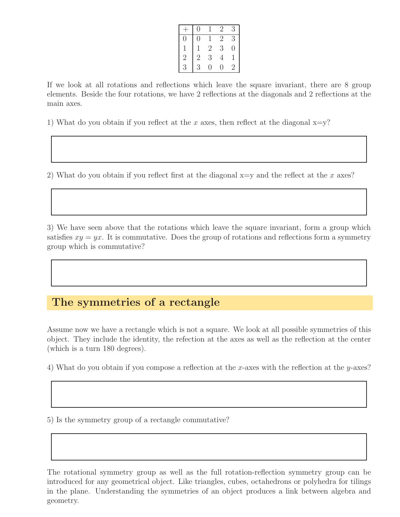|                | 0        |                | $\dot{ }$ | 3       |
|----------------|----------|----------------|-----------|---------|
|                | $\theta$ |                | 2         | 3       |
|                |          | $\overline{2}$ | 3         | ( )     |
| $\overline{2}$ | 2        | 3              | 4         |         |
| 3              | 3        | 0              | 0         | $\cdot$ |

If we look at all rotations and reflections which leave the square invariant, there are 8 group elements. Beside the four rotations, we have 2 reflections at the diagonals and 2 reflections at the main axes.

1) What do you obtain if you reflect at the x axes, then reflect at the diagonal  $x=y$ ?

2) What do you obtain if you reflect first at the diagonal  $x=y$  and the reflect at the x axes?

3) We have seen above that the rotations which leave the square invariant, form a group which satisfies  $xy = yx$ . It is commutative. Does the group of rotations and reflections form a symmetry group which is commutative?

### The symmetries of a rectangle

Assume now we have a rectangle which is not a square. We look at all possible symmetries of this object. They include the identity, the refection at the axes as well as the reflection at the center (which is a turn 180 degrees).

4) What do you obtain if you compose a reflection at the x-axes with the reflection at the y-axes?

5) Is the symmetry group of a rectangle commutative?

The rotational symmetry group as well as the full rotation-reflection symmetry group can be introduced for any geometrical object. Like triangles, cubes, octahedrons or polyhedra for tilings in the plane. Understanding the symmetries of an object produces a link between algebra and geometry.